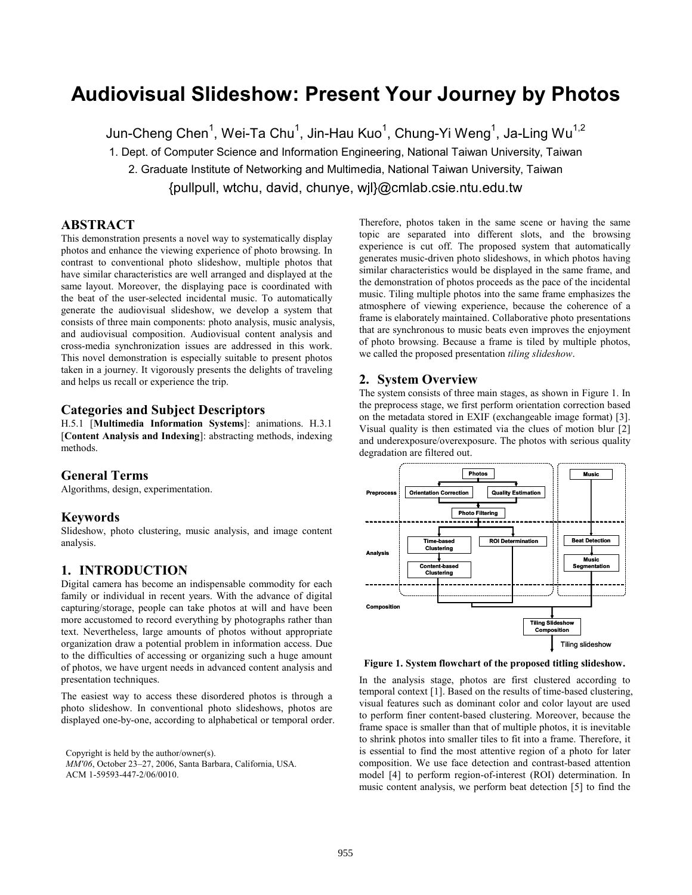# **Audiovisual Slideshow: Present Your Journey by Photos**

Jun-Cheng Chen $^1$ , Wei-Ta Chu $^1$ , Jin-Hau Kuo $^1$ , Chung-Yi Weng $^1$ , Ja-Ling Wu $^{1,2}$ 1. Dept. of Computer Science and Information Engineering, National Taiwan University, Taiwan 2. Graduate Institute of Networking and Multimedia, National Taiwan University, Taiwan {pullpull, wtchu, david, chunye, wjl}@cmlab.csie.ntu.edu.tw

# **ABSTRACT**

This demonstration presents a novel way to systematically display photos and enhance the viewing experience of photo browsing. In contrast to conventional photo slideshow, multiple photos that have similar characteristics are well arranged and displayed at the same layout. Moreover, the displaying pace is coordinated with the beat of the user-selected incidental music. To automatically generate the audiovisual slideshow, we develop a system that consists of three main components: photo analysis, music analysis, and audiovisual composition. Audiovisual content analysis and cross-media synchronization issues are addressed in this work. This novel demonstration is especially suitable to present photos taken in a journey. It vigorously presents the delights of traveling and helps us recall or experience the trip.

# **Categories and Subject Descriptors**

H.5.1 [**Multimedia Information Systems**]: animations. H.3.1 [**Content Analysis and Indexing**]: abstracting methods, indexing methods.

### **General Terms**

Algorithms, design, experimentation.

## **Keywords**

Slideshow, photo clustering, music analysis, and image content analysis.

# **1. INTRODUCTION**

Digital camera has become an indispensable commodity for each family or individual in recent years. With the advance of digital capturing/storage, people can take photos at will and have been more accustomed to record everything by photographs rather than text. Nevertheless, large amounts of photos without appropriate organization draw a potential problem in information access. Due to the difficulties of accessing or organizing such a huge amount of photos, we have urgent needs in advanced content analysis and presentation techniques.

The easiest way to access these disordered photos is through a photo slideshow. In conventional photo slideshows, photos are displayed one-by-one, according to alphabetical or temporal order.

Copyright is held by the author/owner(s). *MM'06*, October 23–27, 2006, Santa Barbara, California, USA. ACM 1-59593-447-2/06/0010.

Therefore, photos taken in the same scene or having the same topic are separated into different slots, and the browsing experience is cut off. The proposed system that automatically generates music-driven photo slideshows, in which photos having similar characteristics would be displayed in the same frame, and the demonstration of photos proceeds as the pace of the incidental music. Tiling multiple photos into the same frame emphasizes the atmosphere of viewing experience, because the coherence of a frame is elaborately maintained. Collaborative photo presentations that are synchronous to music beats even improves the enjoyment of photo browsing. Because a frame is tiled by multiple photos, we called the proposed presentation *tiling slideshow*.

## **2. System Overview**

The system consists of three main stages, as shown in Figure 1. In the preprocess stage, we first perform orientation correction based on the metadata stored in EXIF (exchangeable image format) [3]. Visual quality is then estimated via the clues of motion blur [2] and underexposure/overexposure. The photos with serious quality degradation are filtered out.



**Figure 1. System flowchart of the proposed titling slideshow.** 

In the analysis stage, photos are first clustered according to temporal context [1]. Based on the results of time-based clustering, visual features such as dominant color and color layout are used to perform finer content-based clustering. Moreover, because the frame space is smaller than that of multiple photos, it is inevitable to shrink photos into smaller tiles to fit into a frame. Therefore, it is essential to find the most attentive region of a photo for later composition. We use face detection and contrast-based attention model [4] to perform region-of-interest (ROI) determination. In music content analysis, we perform beat detection [5] to find the